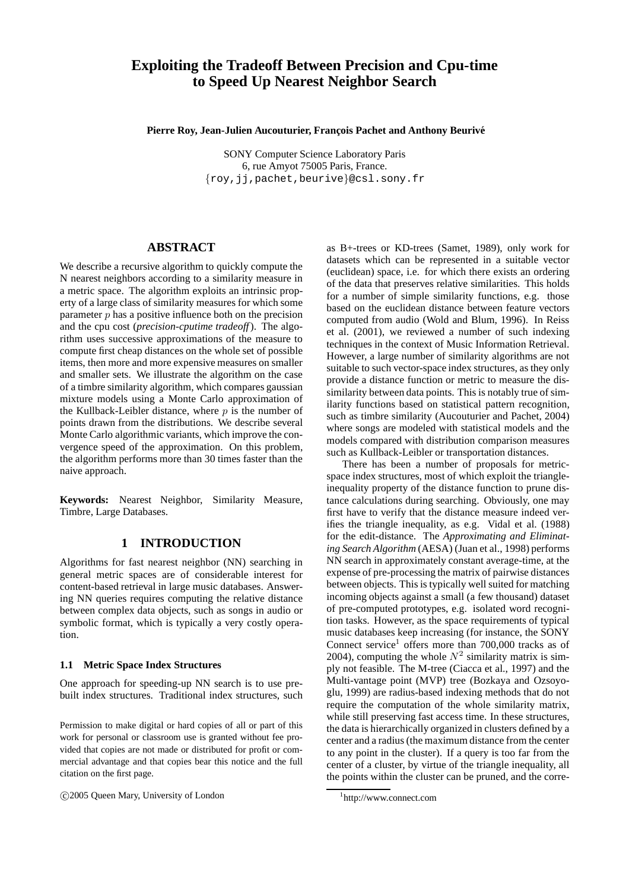# **Exploiting the Tradeoff Between Precision and Cpu-time to Speed Up Nearest Neighbor Search**

Pierre Roy, Jean-Julien Aucouturier, François Pachet and Anthony Beurivé

SONY Computer Science Laboratory Paris 6, rue Amyot 75005 Paris, France. {roy,jj,pachet,beurive}@csl.sony.fr

# **ABSTRACT**

We describe a recursive algorithm to quickly compute the N nearest neighbors according to a similarity measure in a metric space. The algorithm exploits an intrinsic property of a large class of similarity measures for which some parameter  $p$  has a positive influence both on the precision and the cpu cost (*precision-cputime tradeoff*). The algorithm uses successive approximations of the measure to compute first cheap distances on the whole set of possible items, then more and more expensive measures on smaller and smaller sets. We illustrate the algorithm on the case of a timbre similarity algorithm, which compares gaussian mixture models using a Monte Carlo approximation of the Kullback-Leibler distance, where  $p$  is the number of points drawn from the distributions. We describe several Monte Carlo algorithmic variants, which improve the convergence speed of the approximation. On this problem, the algorithm performs more than 30 times faster than the naive approach.

Keywords: Nearest Neighbor, Similarity Measure, Timbre, Large Databases.

# **1 INTRODUCTION**

Algorithms for fast nearest neighbor (NN) searching in general metric spaces are of considerable interest for content-based retrieval in large music databases. Answering NN queries requires computing the relative distance between complex data objects, such as songs in audio or symbolic format, which is typically a very costly operation.

#### **1.1 Metric Space Index Structures**

One approach for speeding-up NN search is to use prebuilt index structures. Traditional index structures, such

Permission to make digital or hard copies of all or part of this work for personal or classroom use is granted without fee provided that copies are not made or distributed for profit or commercial advantage and that copies bear this notice and the full citation on the first page.

c 2005 Queen Mary, University of London

as B+-trees or KD-trees (Samet, 1989), only work for datasets which can be represented in a suitable vector (euclidean) space, i.e. for which there exists an ordering of the data that preserves relative similarities. This holds for a number of simple similarity functions, e.g. those based on the euclidean distance between feature vectors computed from audio (Wold and Blum, 1996). In Reiss et al. (2001), we reviewed a number of such indexing techniques in the context of Music Information Retrieval. However, a large number of similarity algorithms are not suitable to such vector-space index structures, as they only provide a distance function or metric to measure the dissimilarity between data points. This is notably true of similarity functions based on statistical pattern recognition, such as timbre similarity (Aucouturier and Pachet, 2004) where songs are modeled with statistical models and the models compared with distribution comparison measures such as Kullback-Leibler or transportation distances.

There has been a number of proposals for metricspace index structures, most of which exploit the triangleinequality property of the distance function to prune distance calculations during searching. Obviously, one may first have to verify that the distance measure indeed verifies the triangle inequality, as e.g. Vidal et al. (1988) for the edit-distance. The *Approximating and Eliminating Search Algorithm* (AESA) (Juan et al., 1998) performs NN search in approximately constant average-time, at the expense of pre-processing the matrix of pairwise distances between objects. This is typically well suited for matching incoming objects against a small (a few thousand) dataset of pre-computed prototypes, e.g. isolated word recognition tasks. However, as the space requirements of typical music databases keep increasing (for instance, the SONY Connect service<sup>1</sup> offers more than  $700,000$  tracks as of 2004), computing the whole  $N^2$  similarity matrix is simply not feasible. The M-tree (Ciacca et al., 1997) and the Multi-vantage point (MVP) tree (Bozkaya and Ozsoyoglu, 1999) are radius-based indexing methods that do not require the computation of the whole similarity matrix, while still preserving fast access time. In these structures, the data is hierarchically organized in clusters defined by a center and a radius (the maximum distance from the center to any point in the cluster). If a query is too far from the center of a cluster, by virtue of the triangle inequality, all the points within the cluster can be pruned, and the corre-

<sup>1</sup> http://www.connect.com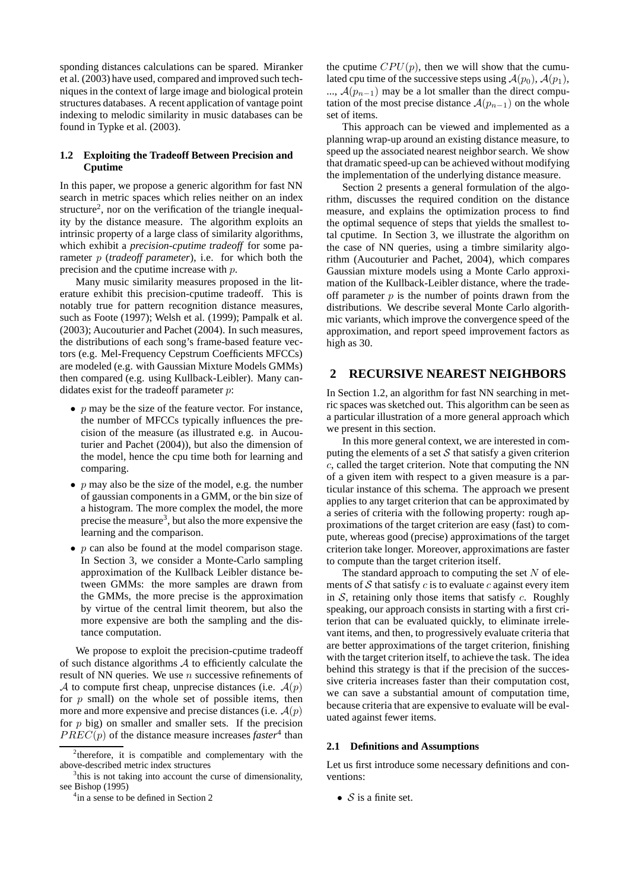sponding distances calculations can be spared. Miranker et al. (2003) have used, compared and improved such techniques in the context of large image and biological protein structures databases. A recent application of vantage point indexing to melodic similarity in music databases can be found in Typke et al. (2003).

### **1.2 Exploiting the Tradeoff Between Precision and Cputime**

In this paper, we propose a generic algorithm for fast NN search in metric spaces which relies neither on an index structure<sup>2</sup>, nor on the verification of the triangle inequality by the distance measure. The algorithm exploits an intrinsic property of a large class of similarity algorithms, which exhibit a *precision-cputime tradeoff* for some parameter p (*tradeoff parameter*), i.e. for which both the precision and the cputime increase with p.

Many music similarity measures proposed in the literature exhibit this precision-cputime tradeoff. This is notably true for pattern recognition distance measures, such as Foote (1997); Welsh et al. (1999); Pampalk et al. (2003); Aucouturier and Pachet (2004). In such measures, the distributions of each song's frame-based feature vectors (e.g. Mel-Frequency Cepstrum Coefficients MFCCs) are modeled (e.g. with Gaussian Mixture Models GMMs) then compared (e.g. using Kullback-Leibler). Many candidates exist for the tradeoff parameter  $p$ :

- $p$  may be the size of the feature vector. For instance, the number of MFCCs typically influences the precision of the measure (as illustrated e.g. in Aucouturier and Pachet (2004)), but also the dimension of the model, hence the cpu time both for learning and comparing.
- $p$  may also be the size of the model, e.g. the number of gaussian components in a GMM, or the bin size of a histogram. The more complex the model, the more precise the measure<sup>3</sup>, but also the more expensive the learning and the comparison.
- $p$  can also be found at the model comparison stage. In Section 3, we consider a Monte-Carlo sampling approximation of the Kullback Leibler distance between GMMs: the more samples are drawn from the GMMs, the more precise is the approximation by virtue of the central limit theorem, but also the more expensive are both the sampling and the distance computation.

We propose to exploit the precision-cputime tradeoff of such distance algorithms  $A$  to efficiently calculate the result of NN queries. We use  $n$  successive refinements of A to compute first cheap, unprecise distances (i.e.  $A(p)$ ) for  $p$  small) on the whole set of possible items, then more and more expensive and precise distances (i.e.  $A(p)$ ) for  $p$  big) on smaller and smaller sets. If the precision  $PREC(p)$  of the distance measure increases *faster*<sup>4</sup> than

the cputime  $CPU(p)$ , then we will show that the cumulated cpu time of the successive steps using  $\mathcal{A}(p_0)$ ,  $\mathcal{A}(p_1)$ , ...,  $\mathcal{A}(p_{n-1})$  may be a lot smaller than the direct computation of the most precise distance  $\mathcal{A}(p_{n-1})$  on the whole set of items.

This approach can be viewed and implemented as a planning wrap-up around an existing distance measure, to speed up the associated nearest neighbor search. We show that dramatic speed-up can be achieved without modifying the implementation of the underlying distance measure.

Section 2 presents a general formulation of the algorithm, discusses the required condition on the distance measure, and explains the optimization process to find the optimal sequence of steps that yields the smallest total cputime. In Section 3, we illustrate the algorithm on the case of NN queries, using a timbre similarity algorithm (Aucouturier and Pachet, 2004), which compares Gaussian mixture models using a Monte Carlo approximation of the Kullback-Leibler distance, where the tradeoff parameter  $p$  is the number of points drawn from the distributions. We describe several Monte Carlo algorithmic variants, which improve the convergence speed of the approximation, and report speed improvement factors as high as 30.

### **2 RECURSIVE NEAREST NEIGHBORS**

In Section 1.2, an algorithm for fast NN searching in metric spaces was sketched out. This algorithm can be seen as a particular illustration of a more general approach which we present in this section.

In this more general context, we are interested in computing the elements of a set  $S$  that satisfy a given criterion c, called the target criterion. Note that computing the NN of a given item with respect to a given measure is a particular instance of this schema. The approach we present applies to any target criterion that can be approximated by a series of criteria with the following property: rough approximations of the target criterion are easy (fast) to compute, whereas good (precise) approximations of the target criterion take longer. Moreover, approximations are faster to compute than the target criterion itself.

The standard approach to computing the set  $N$  of elements of S that satisfy c is to evaluate c against every item in  $S$ , retaining only those items that satisfy  $c$ . Roughly speaking, our approach consists in starting with a first criterion that can be evaluated quickly, to eliminate irrelevant items, and then, to progressively evaluate criteria that are better approximations of the target criterion, finishing with the target criterion itself, to achieve the task. The idea behind this strategy is that if the precision of the successive criteria increases faster than their computation cost, we can save a substantial amount of computation time, because criteria that are expensive to evaluate will be evaluated against fewer items.

#### **2.1 Definitions and Assumptions**

Let us first introduce some necessary definitions and conventions:

•  $S$  is a finite set.

<sup>&</sup>lt;sup>2</sup>therefore, it is compatible and complementary with the above-described metric index structures

<sup>&</sup>lt;sup>3</sup>this is not taking into account the curse of dimensionality, see Bishop (1995)

<sup>&</sup>lt;sup>4</sup>in a sense to be defined in Section 2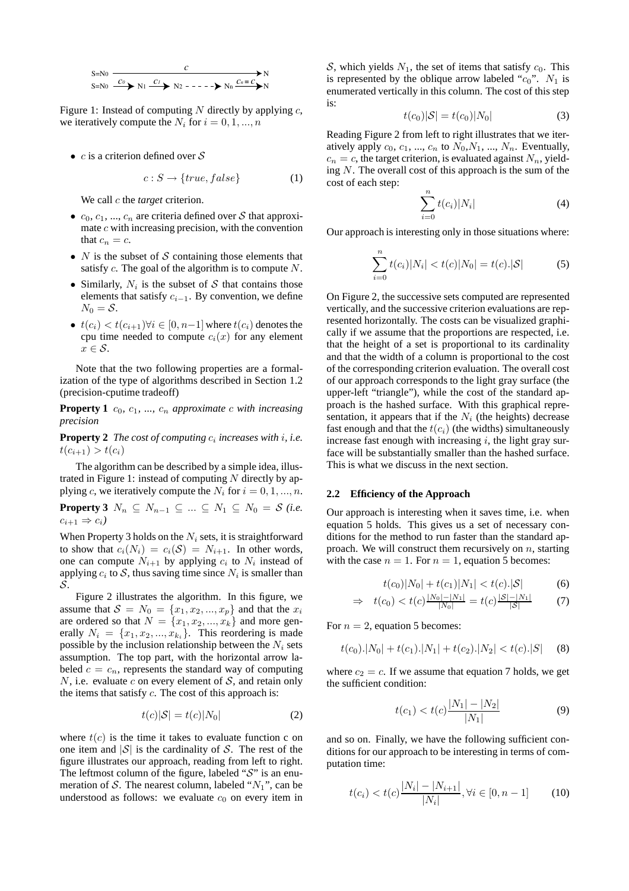

Figure 1: Instead of computing  $N$  directly by applying  $c$ , we iteratively compute the  $N_i$  for  $i = 0, 1, ..., n$ 

•  $c$  is a criterion defined over  $S$ 

$$
c: S \to \{true, false\} \tag{1}
$$

We call *c* the *target* criterion.

- $c_0, c_1, ..., c_n$  are criteria defined over S that approximate  $c$  with increasing precision, with the convention that  $c_n = c$ .
- $N$  is the subset of  $S$  containing those elements that satisfy  $c$ . The goal of the algorithm is to compute  $N$ .
- Similarly,  $N_i$  is the subset of S that contains those elements that satisfy  $c_{i-1}$ . By convention, we define  $N_0 = S$ .
- $t(c_i) < t(c_{i+1}) \forall i \in [0, n-1]$  where  $t(c_i)$  denotes the cpu time needed to compute  $c_i(x)$  for any element  $x \in \mathcal{S}$ .

Note that the two following properties are a formalization of the type of algorithms described in Section 1.2 (precision-cputime tradeoff)

**Property 1**  $c_0$ ,  $c_1$ , ...,  $c_n$  approximate c with increasing *precision*

**Property 2** The cost of computing  $c_i$  increases with i, i.e.  $t(c_{i+1}) > t(c_i)$ 

The algorithm can be described by a simple idea, illustrated in Figure 1: instead of computing  $N$  directly by applying c, we iteratively compute the  $N_i$  for  $i = 0, 1, ..., n$ .

**Property 3**  $N_n \subseteq N_{n-1} \subseteq ... \subseteq N_1 \subseteq N_0 = \mathcal{S}$  *(i.e.*)  $c_{i+1} \Rightarrow c_i$ 

When Property 3 holds on the  $N_i$  sets, it is straightforward to show that  $c_i(N_i) = c_i(\mathcal{S}) = N_{i+1}$ . In other words, one can compute  $N_{i+1}$  by applying  $c_i$  to  $N_i$  instead of applying  $c_i$  to S, thus saving time since  $N_i$  is smaller than S.

Figure 2 illustrates the algorithm. In this figure, we assume that  $S = N_0 = \{x_1, x_2, ..., x_p\}$  and that the  $x_i$ are ordered so that  $N = \{x_1, x_2, ..., x_k\}$  and more generally  $N_i = \{x_1, x_2, ..., x_{k_i}\}.$  This reordering is made possible by the inclusion relationship between the  $N_i$  sets assumption. The top part, with the horizontal arrow labeled  $c = c_n$ , represents the standard way of computing N, i.e. evaluate c on every element of  $S$ , and retain only the items that satisfy  $c$ . The cost of this approach is:

$$
t(c)|S| = t(c)|N_0|
$$
 (2)

where  $t(c)$  is the time it takes to evaluate function c on one item and  $|S|$  is the cardinality of S. The rest of the figure illustrates our approach, reading from left to right. The leftmost column of the figure, labeled " $\mathcal{S}$ " is an enumeration of S. The nearest column, labeled " $N_1$ ", can be understood as follows: we evaluate  $c_0$  on every item in

S, which yields  $N_1$ , the set of items that satisfy  $c_0$ . This is represented by the oblique arrow labeled " $c_0$ ".  $N_1$  is enumerated vertically in this column. The cost of this step is:

$$
t(c_0)|S| = t(c_0)|N_0|
$$
 (3)

Reading Figure 2 from left to right illustrates that we iteratively apply  $c_0, c_1, ..., c_n$  to  $N_0, N_1, ..., N_n$ . Eventually,  $c_n = c$ , the target criterion, is evaluated against  $N_n$ , yielding  $N$ . The overall cost of this approach is the sum of the cost of each step:

$$
\sum_{i=0}^{n} t(c_i)|N_i| \tag{4}
$$

Our approach is interesting only in those situations where:

$$
\sum_{i=0}^{n} t(c_i)|N_i| < t(c)|N_0| = t(c).|\mathcal{S}| \tag{5}
$$

On Figure 2, the successive sets computed are represented vertically, and the successive criterion evaluations are represented horizontally. The costs can be visualized graphically if we assume that the proportions are respected, i.e. that the height of a set is proportional to its cardinality and that the width of a column is proportional to the cost of the corresponding criterion evaluation. The overall cost of our approach corresponds to the light gray surface (the upper-left "triangle"), while the cost of the standard approach is the hashed surface. With this graphical representation, it appears that if the  $N_i$  (the heights) decrease fast enough and that the  $t(c_i)$  (the widths) simultaneously increase fast enough with increasing  $i$ , the light gray surface will be substantially smaller than the hashed surface. This is what we discuss in the next section.

#### **2.2 Efficiency of the Approach**

Our approach is interesting when it saves time, i.e. when equation 5 holds. This gives us a set of necessary conditions for the method to run faster than the standard approach. We will construct them recursively on  $n$ , starting with the case  $n = 1$ . For  $n = 1$ , equation 5 becomes:

$$
t(c_0)|N_0| + t(c_1)|N_1| < t(c).|\mathcal{S}| \tag{6}
$$

$$
\Rightarrow t(c_0) < t(c) \frac{|N_0| - |N_1|}{|N_0|} = t(c) \frac{|S| - |N_1|}{|S|} \tag{7}
$$

For  $n = 2$ , equation 5 becomes:

$$
t(c_0).|N_0| + t(c_1).|N_1| + t(c_2).|N_2| < t(c).|S| \quad (8)
$$

where  $c_2 = c$ . If we assume that equation 7 holds, we get the sufficient condition:

$$
t(c_1) < t(c) \frac{|N_1| - |N_2|}{|N_1|} \tag{9}
$$

and so on. Finally, we have the following sufficient conditions for our approach to be interesting in terms of computation time:

$$
t(c_i) < t(c) \frac{|N_i| - |N_{i+1}|}{|N_i|}, \forall i \in [0, n-1] \tag{10}
$$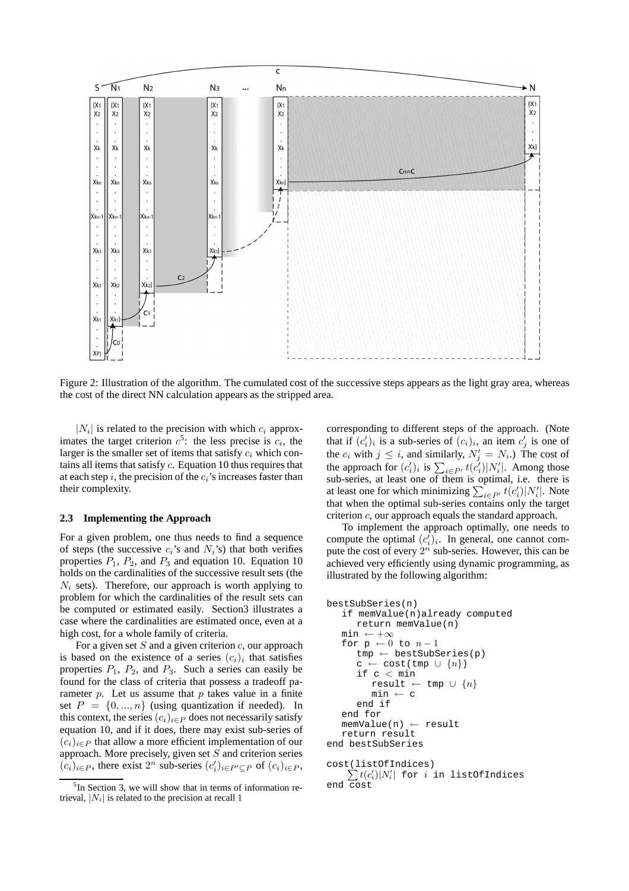

Figure 2: Illustration of the algorithm. The cumulated cost of the successive steps appears as the light gray area, whereas the cost of the direct NN calculation appears as the stripped area.

 $|N_i|$  is related to the precision with which  $c_i$  approximates the target criterion  $c^5$ : the less precise is  $c_i$ , the larger is the smaller set of items that satisfy  $c_i$  which contains all items that satisfy c. Equation 10 thus requires that at each step i, the precision of the  $c_i$ 's increases faster than their complexity.

#### **2.3 Implementing the Approach**

For a given problem, one thus needs to find a sequence of steps (the successive  $c_i$ 's and  $N_i$ 's) that both verifies properties  $P_1$ ,  $P_2$ , and  $P_3$  and equation 10. Equation 10 holds on the cardinalities of the successive result sets (the  $N_i$  sets). Therefore, our approach is worth applying to problem for which the cardinalities of the result sets can be computed or estimated easily. Section3 illustrates a case where the cardinalities are estimated once, even at a high cost, for a whole family of criteria.

For a given set  $S$  and a given criterion  $c$ , our approach is based on the existence of a series  $(c_i)_i$  that satisfies properties  $P_1$ ,  $P_2$ , and  $P_3$ . Such a series can easily be found for the class of criteria that possess a tradeoff parameter  $p$ . Let us assume that  $p$  takes value in a finite set  $P = \{0, ..., n\}$  (using quantization if needed). In this context, the series  $(c_i)_{i \in P}$  does not necessarily satisfy equation 10, and if it does, there may exist sub-series of  $(c_i)_{i \in P}$  that allow a more efficient implementation of our approach. More precisely, given set  $S$  and criterion series  $(c_i)_{i \in P}$ , there exist  $2^n$  sub-series  $(c'_i)_{i \in P' \subseteq P}$  of  $(c_i)_{i \in P}$ ,

corresponding to different steps of the approach. (Note that if  $(c'_i)_i$  is a sub-series of  $(c_i)_i$ , an item  $c'_j$  is one of the  $c_i$  with  $j \leq i$ , and similarly,  $N'_j = N_i$ .) The cost of the approach for  $(c'_i)_i$  is  $\sum_{i \in P'} t(c'_i) |N'_i|$ . Among those sub-series, at least one of them is optimal, i.e. there is at least one for which minimizing  $\sum_{i \in P'} t(c'_i) |N'_i|$ . Note that when the optimal sub-series contains only the target criterion c, our approach equals the standard approach.

To implement the approach optimally, one needs to compute the optimal  $(c_i')_i$ . In general, one cannot compute the cost of every  $2^n$  sub-series. However, this can be achieved very efficiently using dynamic programming, as illustrated by the following algorithm:

```
bestSubSeries(n)
   if memValue(n)already computed
      return memValue(n)
   min \leftarrow +\inftyfor p \leftarrow 0 to n-1tmp \leftarrow bestSubSeries(p)c \leftarrow \text{cost}(\text{tmp} \cup \{n\})if c < min
          result \leftarrow tmp \cup \{n\}min \leftarrow cend if
   end for
   memValue(n) \leftarrow resultreturn result
end bestSubSeries
cost(listOfIndices)
     \sum t(c'_i)|N'_i| for i in listOfIndices
```

```
end cost
```
<sup>&</sup>lt;sup>5</sup>In Section 3, we will show that in terms of information retrieval,  $|N_i|$  is related to the precision at recall 1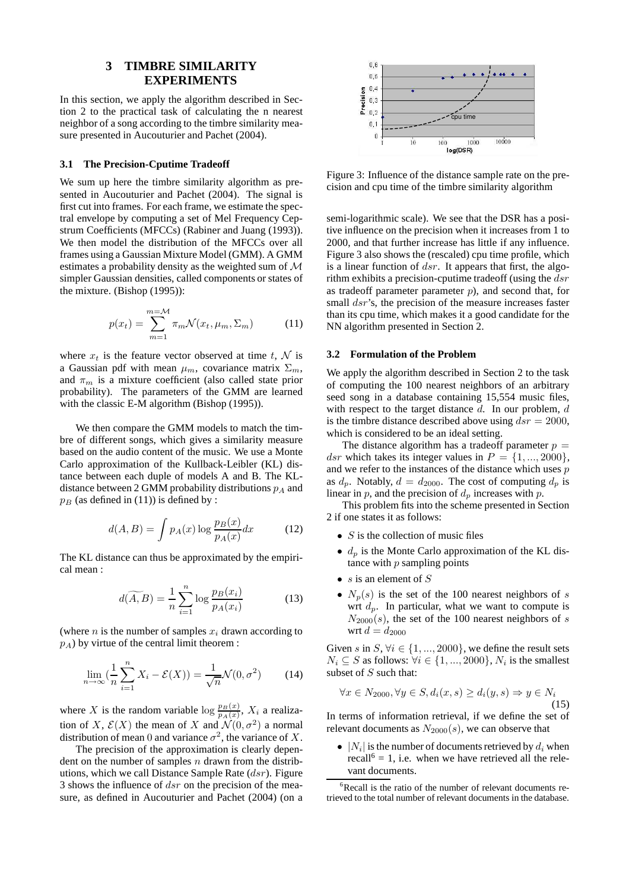# **3 TIMBRE SIMILARITY EXPERIMENTS**

In this section, we apply the algorithm described in Section 2 to the practical task of calculating the n nearest neighbor of a song according to the timbre similarity measure presented in Aucouturier and Pachet (2004).

#### **3.1 The Precision-Cputime Tradeoff**

We sum up here the timbre similarity algorithm as presented in Aucouturier and Pachet (2004). The signal is first cut into frames. For each frame, we estimate the spectral envelope by computing a set of Mel Frequency Cepstrum Coefficients (MFCCs) (Rabiner and Juang (1993)). We then model the distribution of the MFCCs over all frames using a Gaussian Mixture Model (GMM). A GMM estimates a probability density as the weighted sum of M simpler Gaussian densities, called components or states of the mixture. (Bishop (1995)):

$$
p(x_t) = \sum_{m=1}^{m=\mathcal{M}} \pi_m \mathcal{N}(x_t, \mu_m, \Sigma_m)
$$
 (11)

where  $x_t$  is the feature vector observed at time t, N is a Gaussian pdf with mean  $\mu_m$ , covariance matrix  $\Sigma_m$ , and  $\pi_m$  is a mixture coefficient (also called state prior probability). The parameters of the GMM are learned with the classic E-M algorithm (Bishop (1995)).

We then compare the GMM models to match the timbre of different songs, which gives a similarity measure based on the audio content of the music. We use a Monte Carlo approximation of the Kullback-Leibler (KL) distance between each duple of models A and B. The KLdistance between 2 GMM probability distributions  $p_A$  and  $p_B$  (as defined in (11)) is defined by :

$$
d(A, B) = \int p_A(x) \log \frac{p_B(x)}{p_A(x)} dx \tag{12}
$$

The KL distance can thus be approximated by the empirical mean :

$$
d(\widetilde{A}, B) = \frac{1}{n} \sum_{i=1}^{n} \log \frac{p_B(x_i)}{p_A(x_i)}
$$
(13)

(where *n* is the number of samples  $x_i$  drawn according to  $p_A$ ) by virtue of the central limit theorem :

$$
\lim_{n \to \infty} \left( \frac{1}{n} \sum_{i=1}^{n} X_i - \mathcal{E}(X) \right) = \frac{1}{\sqrt{n}} \mathcal{N}(0, \sigma^2) \tag{14}
$$

where X is the random variable  $\log \frac{p_B(x)}{p_A(x)}$ ,  $X_i$  a realization of X,  $\mathcal{E}(X)$  the mean of X and  $\mathcal{N}(0, \sigma^2)$  a normal distribution of mean 0 and variance  $\sigma^2$ , the variance of X.

The precision of the approximation is clearly dependent on the number of samples  $n$  drawn from the distributions, which we call Distance Sample Rate  $(dsr)$ . Figure 3 shows the influence of  $dsr$  on the precision of the measure, as defined in Aucouturier and Pachet (2004) (on a



Figure 3: Influence of the distance sample rate on the precision and cpu time of the timbre similarity algorithm

semi-logarithmic scale). We see that the DSR has a positive influence on the precision when it increases from 1 to 2000, and that further increase has little if any influence. Figure 3 also shows the (rescaled) cpu time profile, which is a linear function of  $dsr$ . It appears that first, the algorithm exhibits a precision-cputime tradeoff (using the  $dsr$ as tradeoff parameter parameter  $p$ ), and second that, for small  $dsr$ 's, the precision of the measure increases faster than its cpu time, which makes it a good candidate for the NN algorithm presented in Section 2.

### **3.2 Formulation of the Problem**

We apply the algorithm described in Section 2 to the task of computing the 100 nearest neighbors of an arbitrary seed song in a database containing 15,554 music files, with respect to the target distance  $d$ . In our problem,  $d$ is the timbre distance described above using  $dsr = 2000$ , which is considered to be an ideal setting.

The distance algorithm has a tradeoff parameter  $p =$ dsr which takes its integer values in  $P = \{1, ..., 2000\},\$ and we refer to the instances of the distance which uses  $p$ as  $d_p$ . Notably,  $d = d_{2000}$ . The cost of computing  $d_p$  is linear in p, and the precision of  $d_p$  increases with p.

This problem fits into the scheme presented in Section 2 if one states it as follows:

- $S$  is the collection of music files
- $\bullet$  d<sub>p</sub> is the Monte Carlo approximation of the KL distance with  $p$  sampling points
- s is an element of  $S$
- $N_p(s)$  is the set of the 100 nearest neighbors of s wrt  $d_p$ . In particular, what we want to compute is  $N_{2000}(s)$ , the set of the 100 nearest neighbors of s wrt  $d = d_{2000}$

Given s in  $S, \forall i \in \{1, ..., 2000\}$ , we define the result sets  $N_i \subseteq S$  as follows:  $\forall i \in \{1, ..., 2000\}, N_i$  is the smallest subset of  $S$  such that:

$$
\forall x \in N_{2000}, \forall y \in S, d_i(x, s) \ge d_i(y, s) \Rightarrow y \in N_i
$$
\n(15)

In terms of information retrieval, if we define the set of relevant documents as  $N_{2000}(s)$ , we can observe that

•  $|N_i|$  is the number of documents retrieved by  $d_i$  when recall<sup>6</sup> = 1, i.e. when we have retrieved all the relevant documents.

<sup>&</sup>lt;sup>6</sup>Recall is the ratio of the number of relevant documents retrieved to the total number of relevant documents in the database.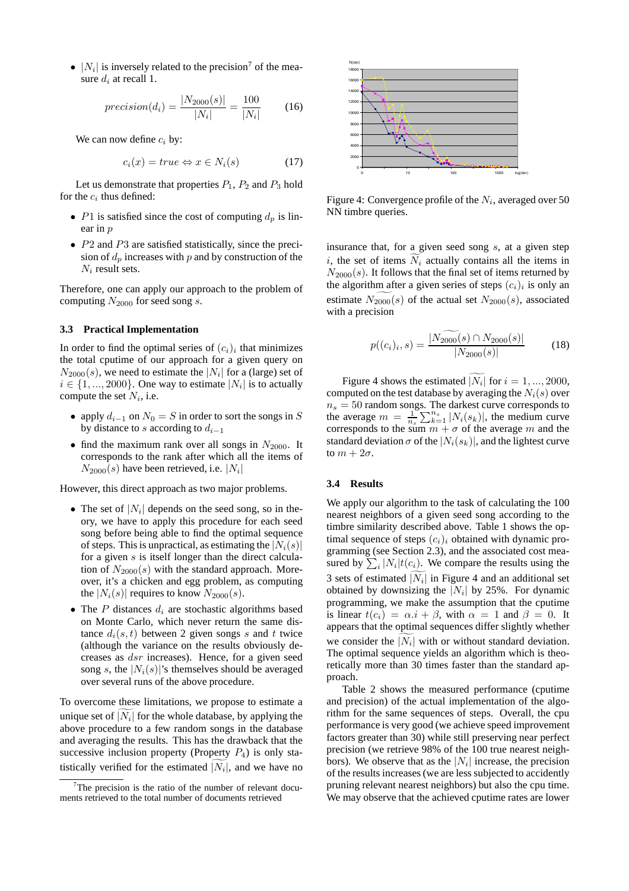•  $|N_i|$  is inversely related to the precision<sup>7</sup> of the measure  $d_i$  at recall 1.

$$
precision(d_i) = \frac{|N_{2000}(s)|}{|N_i|} = \frac{100}{|N_i|} \tag{16}
$$

We can now define  $c_i$  by:

$$
c_i(x) = true \Leftrightarrow x \in N_i(s) \tag{17}
$$

Let us demonstrate that properties  $P_1$ ,  $P_2$  and  $P_3$  hold for the  $c_i$  thus defined:

- P1 is satisfied since the cost of computing  $d_p$  is linear in p
- P2 and P3 are satisfied statistically, since the precision of  $d_p$  increases with p and by construction of the  $N_i$  result sets.

Therefore, one can apply our approach to the problem of computing  $N_{2000}$  for seed song s.

### **3.3 Practical Implementation**

In order to find the optimal series of  $(c_i)_i$  that minimizes the total cputime of our approach for a given query on  $N_{2000}(s)$ , we need to estimate the | $N_i$ | for a (large) set of  $i \in \{1, ..., 2000\}$ . One way to estimate  $|N_i|$  is to actually compute the set  $N_i$ , i.e.

- apply  $d_{i-1}$  on  $N_0 = S$  in order to sort the songs in S by distance to s according to  $d_{i-1}$
- find the maximum rank over all songs in  $N_{2000}$ . It corresponds to the rank after which all the items of  $N_{2000}(s)$  have been retrieved, i.e.  $|N_i|$

However, this direct approach as two major problems.

- The set of  $|N_i|$  depends on the seed song, so in theory, we have to apply this procedure for each seed song before being able to find the optimal sequence of steps. This is unpractical, as estimating the  $|N_i(s)|$ for a given  $s$  is itself longer than the direct calculation of  $N_{2000}(s)$  with the standard approach. Moreover, it's a chicken and egg problem, as computing the  $|N_i(s)|$  requires to know  $N_{2000}(s)$ .
- The P distances  $d_i$  are stochastic algorithms based on Monte Carlo, which never return the same distance  $d_i(s, t)$  between 2 given songs s and t twice (although the variance on the results obviously decreases as dsr increases). Hence, for a given seed song s, the  $|N_i(s)|$ 's themselves should be averaged over several runs of the above procedure.

To overcome these limitations, we propose to estimate a unique set of  $|N_i|$  for the whole database, by applying the above procedure to a few random songs in the database and averaging the results. This has the drawback that the successive inclusion property (Property  $P_4$ ) is only statistically verified for the estimated  $|N_i|$ , and we have no



Figure 4: Convergence profile of the  $N_i$ , averaged over 50  $\,$ NN timbre queries.

insurance that, for a given seed song  $s$ , at a given step i, the set of items  $\widetilde{N}_i$  actually contains all the items in  $N_{2000}(s)$ . It follows that the final set of items returned by the algorithm after a given series of steps  $(c_i)_i$  is only an estimate  $N_{2000}(s)$  of the actual set  $N_{2000}(s)$ , associated with a precision

$$
p((c_i)_i, s) = \frac{|N_{2000}(s) \cap N_{2000}(s)|}{|N_{2000}(s)|} \tag{18}
$$

Figure 4 shows the estimated  $|N_i|$  for  $i = 1, ..., 2000$ , computed on the test database by averaging the  $N_i(s)$  over  $n<sub>s</sub> = 50$  random songs. The darkest curve corresponds to the average  $m = \frac{1}{n_s} \sum_{k=1}^{n_s} |N_i(s_k)|$ , the medium curve corresponds to the sum  $m + \sigma$  of the average m and the standard deviation  $\sigma$  of the  $|N_i(s_k)|$ , and the lightest curve to  $m + 2\sigma$ .

#### **3.4 Results**

We apply our algorithm to the task of calculating the 100 nearest neighbors of a given seed song according to the timbre similarity described above. Table 1 shows the optimal sequence of steps  $(c_i)_i$  obtained with dynamic programming (see Section 2.3), and the associated cost measured by  $\sum_i |N_i| t(c_i)$ . We compare the results using the 3 sets of estimated  $|N_i|$  in Figure 4 and an additional set obtained by downsizing the  $|N_i|$  by 25%. For dynamic programming, we make the assumption that the cputime is linear  $t(c_i) = \alpha \cdot i + \beta$ , with  $\alpha = 1$  and  $\beta = 0$ . It appears that the optimal sequences differ slightly whether we consider the  $|N_i|$  with or without standard deviation. The optimal sequence yields an algorithm which is theoretically more than 30 times faster than the standard approach.

Table 2 shows the measured performance (cputime and precision) of the actual implementation of the algorithm for the same sequences of steps. Overall, the cpu performance is very good (we achieve speed improvement factors greater than 30) while still preserving near perfect precision (we retrieve 98% of the 100 true nearest neighbors). We observe that as the  $|N_i|$  increase, the precision of the results increases (we are less subjected to accidently pruning relevant nearest neighbors) but also the cpu time. We may observe that the achieved cputime rates are lower

 $7$ The precision is the ratio of the number of relevant documents retrieved to the total number of documents retrieved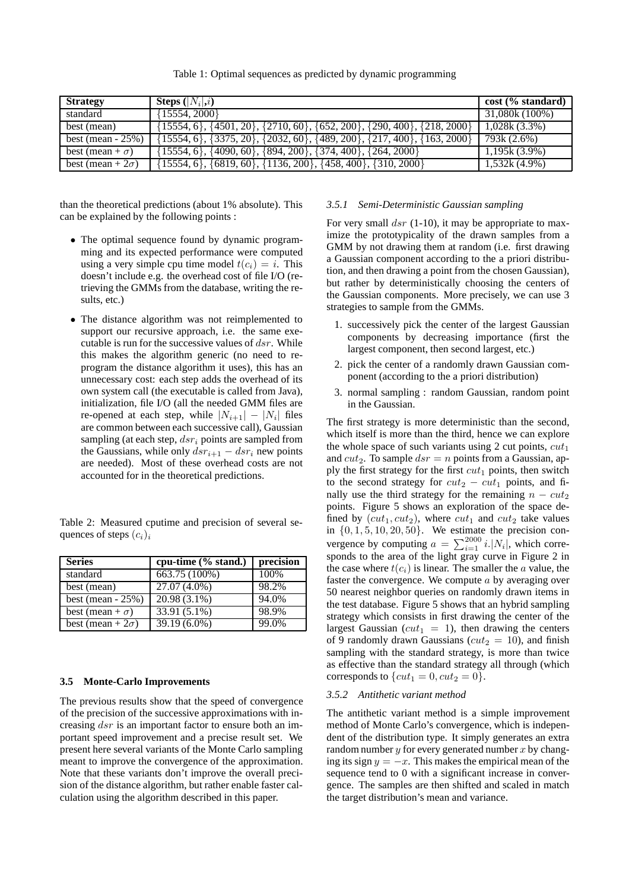|  |  | Table 1: Optimal sequences as predicted by dynamic programming |  |  |  |  |  |
|--|--|----------------------------------------------------------------|--|--|--|--|--|
|--|--|----------------------------------------------------------------|--|--|--|--|--|

| <b>Strategy</b>          | <b>Steps</b> $( N_i , i)$                                                                 | cost (% standard) |
|--------------------------|-------------------------------------------------------------------------------------------|-------------------|
| standard                 | $\{15554, 2000\}$                                                                         | 31,080k (100%)    |
| best (mean)              | $\{15554, 6\}, \{4501, 20\}, \{2710, 60\}, \{652, 200\}, \{290, 400\}, \{218, 2000\}$     | 1,028k(3.3%)      |
|                          | best (mean - 25%) {15554, 6}, {3375, 20}, {2032, 60}, {489, 200}, {217, 400}, {163, 2000} | 793k (2.6%)       |
| best (mean + $\sigma$ )  | $\{15554, 6\}, \{4090, 60\}, \{894, 200\}, \{374, 400\}, \{264, 2000\}$                   | $1,195k(3.9\%)$   |
| best (mean + $2\sigma$ ) | $\{15554, 6\}, \{6819, 60\}, \{1136, 200\}, \{458, 400\}, \{310, 2000\}$                  | $1,532k(4.9\%)$   |

than the theoretical predictions (about 1% absolute). This can be explained by the following points :

- The optimal sequence found by dynamic programming and its expected performance were computed using a very simple cpu time model  $t(c_i) = i$ . This doesn't include e.g. the overhead cost of file I/O (retrieving the GMMs from the database, writing the results, etc.)
- The distance algorithm was not reimplemented to support our recursive approach, i.e. the same executable is run for the successive values of  $dsr$ . While this makes the algorithm generic (no need to reprogram the distance algorithm it uses), this has an unnecessary cost: each step adds the overhead of its own system call (the executable is called from Java), initialization, file I/O (all the needed GMM files are re-opened at each step, while  $|N_{i+1}| - |N_i|$  files are common between each successive call), Gaussian sampling (at each step,  $dsr_i$  points are sampled from the Gaussians, while only  $dsr_{i+1} - dsr_i$  new points are needed). Most of these overhead costs are not accounted for in the theoretical predictions.

Table 2: Measured cputime and precision of several sequences of steps  $(c_i)_i$ 

| <b>Series</b>            | cpu-time $(\%$ stand.) | precision |
|--------------------------|------------------------|-----------|
| standard                 | 663.75 (100%)          | 100%      |
| best (mean)              | $27.07(4.0\%)$         | 98.2%     |
| best (mean $-25\%$ )     | 20.98 (3.1%)           | 94.0%     |
| best (mean + $\sigma$ )  | 33.91 (5.1%)           | 98.9%     |
| best (mean + $2\sigma$ ) | $39.19(6.0\%)$         | 99.0%     |

#### **3.5 Monte-Carlo Improvements**

The previous results show that the speed of convergence of the precision of the successive approximations with increasing dsr is an important factor to ensure both an important speed improvement and a precise result set. We present here several variants of the Monte Carlo sampling meant to improve the convergence of the approximation. Note that these variants don't improve the overall precision of the distance algorithm, but rather enable faster calculation using the algorithm described in this paper.

#### *3.5.1 Semi-Deterministic Gaussian sampling*

For very small  $dsr$  (1-10), it may be appropriate to maximize the prototypicality of the drawn samples from a GMM by not drawing them at random (i.e. first drawing a Gaussian component according to the a priori distribution, and then drawing a point from the chosen Gaussian), but rather by deterministically choosing the centers of the Gaussian components. More precisely, we can use 3 strategies to sample from the GMMs.

- 1. successively pick the center of the largest Gaussian components by decreasing importance (first the largest component, then second largest, etc.)
- 2. pick the center of a randomly drawn Gaussian component (according to the a priori distribution)
- 3. normal sampling : random Gaussian, random point in the Gaussian.

The first strategy is more deterministic than the second, which itself is more than the third, hence we can explore the whole space of such variants using 2 cut points,  $cut_1$ and  $cut_2$ . To sample  $dsr = n$  points from a Gaussian, apply the first strategy for the first  $cut_1$  points, then switch to the second strategy for  $cut_2 - cut_1$  points, and finally use the third strategy for the remaining  $n - cut_2$ points. Figure 5 shows an exploration of the space defined by  $(cut_1, cut_2)$ , where  $cut_1$  and  $cut_2$  take values in  $\{0, 1, 5, 10, 20, 50\}$ . We estimate the precision convergence by computing  $a = \sum_{i=1}^{2000} i$ . W<sub>i</sub>, which corresponds to the area of the light gray curve in Figure 2 in the case where  $t(c_i)$  is linear. The smaller the  $\alpha$  value, the faster the convergence. We compute  $a$  by averaging over 50 nearest neighbor queries on randomly drawn items in the test database. Figure 5 shows that an hybrid sampling strategy which consists in first drawing the center of the largest Gaussian ( $cut_1 = 1$ ), then drawing the centers of 9 randomly drawn Gaussians ( $cut_2 = 10$ ), and finish sampling with the standard strategy, is more than twice as effective than the standard strategy all through (which corresponds to  $\{cut_1 = 0, cut_2 = 0\}.$ 

#### *3.5.2 Antithetic variant method*

The antithetic variant method is a simple improvement method of Monte Carlo's convergence, which is independent of the distribution type. It simply generates an extra random number  $y$  for every generated number  $x$  by changing its sign  $y = -x$ . This makes the empirical mean of the sequence tend to 0 with a significant increase in convergence. The samples are then shifted and scaled in match the target distribution's mean and variance.